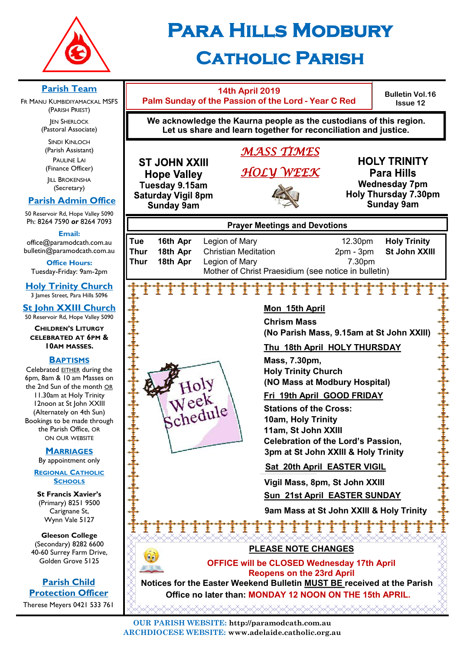

# **Para Hills Modbury Catholic Parish**

#### **Parish Team 14th April 2019 Bulletin Vol.16 Palm Sunday of the Passion of the Lord - Year C Red** FR MANU KUMBIDIYAMACKAL MSFS **Issue 12** (PARISH PRIEST) **We acknowledge the Kaurna people as the custodians of this region. JEN SHERLOCK** (Pastoral Associate) **Let us share and learn together for reconciliation and justice.** SINDI KINLOCH (Parish Assistant) *MASS TIMES*  PAULINE LAI **HOLY TRINITY ST JOHN XXIII** (Finance Officer) *HOLY WEEK* **Para Hills Hope Valley IILL BROKENSHA Wednesday 7pm** Tuesday 9.15am (Secretary) **Holy Thursday 7.30pm Saturday Vigil 8pm Parish Admin Office Sunday 9am Sunday 9am** 50 Reservoir Rd, Hope Valley 5090 Ph: 8264 7590 *or* 8264 7093 **Prayer Meetings and Devotions Email: Tue 16th Apr** Legion of Mary 12.30pm **Holy Trinity** office@paramodcath.com.au bulletin@paramodcath.com.au **Thur 18th Apr** Christian Meditation 2pm - 3pm **St John XXIII Thur 18th Apr** Legion of Mary **7.30pm Office Hours:**  Tuesday-Friday: 9am-2pm Mother of Christ Praesidium (see notice in bulletin) **Holy Trinity Church** TTTTTTTTTT Ť 3 James Street, Para Hills 5096 **St John XXIII Church Mon 15th April** 50 Reservoir Rd, Hope Valley 5090 **Chrism Mass CHILDREN'S LITURGY (No Parish Mass, 9.15am at St John XXIII) CELEBRATED AT 6PM & 10AM MASSES. Thu 18th April HOLY THURSDAY BAPTISMS Mass, 7.30pm,**  Celebrated EITHER during the **Holy Trinity Church** 6pm, 8am & 10 am Masses on Holy **(NO Mass at Modbury Hospital)** the 2nd Sun of the month OR 11.30am at Holy Trinity **Fri 19th April GOOD FRIDAY** Week 12noon at St John XXIII Schedule **Stations of the Cross:** (Alternately on 4th Sun) **10am, Holy Trinity** Bookings to be made through the Parish Office, OR **11am, St John XXIII** ON OUR WEBSITE **Celebration of the Lord's Passion, MARRIAGES 3pm at St John XXIII & Holy Trinity** By appointment only  **Sat 20th April EASTER VIGIL REGIONAL CATHOLIC SCHOOLS Vigil Mass, 8pm, St John XXIII St Francis Xavier's Sun 21st April EASTER SUNDAY** (Primary) 8251 9500  **9am Mass at St John XXIII & Holy Trinity** Carignane St, Wynn Vale 5127 Ŧ Ŧ Ŧ **Gleeson College**  (Secondary) 8282 6600 **PLEASE NOTE CHANGES** 40-60 Surrey Farm Drive, Golden Grove 5125 **OFFICE will be CLOSED Wednesday 17th April Reopens on the 23rd April Parish Child Notices for the Easter Weekend Bulletin MUST BE received at the Parish Protection Officer Office no later than: MONDAY 12 NOON ON THE 15th APRIL.**Therese Meyers 0421 533 761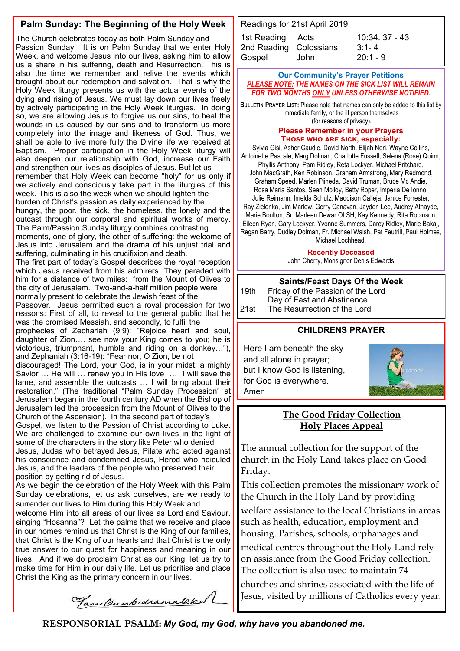#### **Palm Sunday: The Beginning of the Holy Week**

The Church celebrates today as both Palm Sunday and Passion Sunday. It is on Palm Sunday that we enter Holy Week, and welcome Jesus into our lives, asking him to allow us a share in his suffering, death and Resurrection. This is also the time we remember and relive the events which brought about our redemption and salvation. That is why the Holy Week liturgy presents us with the actual events of the dying and rising of Jesus. We must lay down our lives freely by actively participating in the Holy Week liturgies. In doing so, we are allowing Jesus to forgive us our sins, to heal the wounds in us caused by our sins and to transform us more completely into the image and likeness of God. Thus, we shall be able to live more fully the Divine life we received at Baptism. Proper participation in the Holy Week liturgy will also deepen our relationship with God, increase our Faith and strengthen our lives as disciples of Jesus. But let us remember that Holy Week can become "holy" for us only if we actively and consciously take part in the liturgies of this week. This is also the week when we should lighten the burden of Christ's passion as daily experienced by the hungry, the poor, the sick, the homeless, the lonely and the outcast through our corporal and spiritual works of mercy. The Palm/Passion Sunday liturgy combines contrasting moments, one of glory, the other of suffering: the welcome of Jesus into Jerusalem and the drama of his unjust trial and suffering, culminating in his crucifixion and death. The first part of today's Gospel describes the royal reception which Jesus received from his admirers. They paraded with him for a distance of two miles: from the Mount of Olives to the city of Jerusalem. Two-and-a-half million people were normally present to celebrate the Jewish feast of the Passover. Jesus permitted such a royal procession for two reasons: First of all, to reveal to the general public that he was the promised Messiah, and secondly, to fulfil the prophecies of Zechariah (9:9): "Rejoice heart and soul, daughter of Zion…. see now your King comes to you; he is victorious, triumphant, humble and riding on a donkey…"), and Zephaniah (3:16-19): "Fear nor, O Zion, be not discouraged! The Lord, your God, is in your midst, a mighty Savior … He will … renew you in His love … I will save the lame, and assemble the outcasts … I will bring about their restoration." (The traditional "Palm Sunday Procession" at Jerusalem began in the fourth century AD when the Bishop of Jerusalem led the procession from the Mount of Olives to the Church of the Ascension). In the second part of today's Gospel, we listen to the Passion of Christ according to Luke. We are challenged to examine our own lives in the light of some of the characters in the story like Peter who denied Jesus, Judas who betrayed Jesus, Pilate who acted against his conscience and condemned Jesus, Herod who ridiculed Jesus, and the leaders of the people who preserved their position by getting rid of Jesus. As we begin the celebration of the Holy Week with this Palm Sunday celebrations, let us ask ourselves, are we ready to

surrender our lives to Him during this Holy Week and welcome Him into all areas of our lives as Lord and Saviour, singing "Hosanna"? Let the palms that we receive and place in our homes remind us that Christ is the King of our families, that Christ is the King of our hearts and that Christ is the only true answer to our quest for happiness and meaning in our lives. And if we do proclaim Christ as our King, let us try to make time for Him in our daily life. Let us prioritise and place Christ the King as the primary concern in our lives.

Readings for 21st April 2019 1st Reading Acts 10:34. 37 - 43 2nd Reading Colossians [3:1](javascript:expandDetail(%22reading%22,%22SR%22,%22N04ORSUC%22,%20%22right_content_middle%22,%22%22);)- 4 Gospel John 20:1 - 9

#### **Our Community's Prayer Petitions**  *PLEASE NOTE: THE NAMES ON THE SICK LIST WILL REMAIN FOR TWO MONTHS ONLY UNLESS OTHERWISE NOTIFIED.*

**BULLETIN PRAYER LIST:** Please note that names can only be added to this list by immediate family, or the ill person themselves (for reasons of privacy).

#### **Please Remember in your Prayers Those who are sick, especially:**

Sylvia Gisi, Asher Caudle, David North, Elijah Neri, Wayne Collins, Antoinette Pascale, Marg Dolman, Charlotte Fussell, Selena (Rose) Quinn, Phyllis Anthony, Pam Ridley, Reta Lockyer, Michael Pritchard, John MacGrath, Ken Robinson, Graham Armstrong, Mary Redmond, Graham Speed, Marlen Piineda, David Truman, Bruce Mc Andie, Rosa Maria Santos, Sean Molloy, Betty Roper, Imperia De Ionno, Julie Reimann, Imelda Schulz, Maddison Calleja, Janice Forrester, Ray Zielonka, Jim Marlow, Gerry Canavan, Jayden Lee, Audrey Athayde, Marie Boulton, Sr. Marleen Dewar OLSH, Kay Kennedy, Rita Robinson, Eileen Ryan, Gary Lockyer, Yvonne Summers, Darcy Ridley, Marie Bakaj, Regan Barry, Dudley Dolman, Fr. Michael Walsh, Pat Feutrill, Paul Holmes, Michael Lochhead.

**Recently Deceased**

John Cherry, Monsignor Denis Edwards

#### **Saints/Feast Days Of the Week**

19th Friday of the Passion of the Lord Day of Fast and Abstinence 21st The Resurrection of the Lord

#### **CHILDRENS PRAYER**

Here I am beneath the sky and all alone in prayer; but I know God is listening, for God is everywhere. Amen



#### **The Good Friday Collection Holy Places Appeal**

The annual collection for the support of the church in the Holy Land takes place on Good Friday.

This collection promotes the missionary work of the Church in the Holy Land by providing

welfare assistance to the local Christians in areas such as health, education, employment and housing. Parishes, schools, orphanages and

medical centres throughout the Holy Land rely on assistance from the Good Friday collection. The collection is also used to maintain 74

churches and shrines associated with the life of Jesus, visited by millions of Catholics every year.

Tane Bumbedramalaked

**RESPONSORIAL PSALM:** *My God, my God, why have you abandoned me.*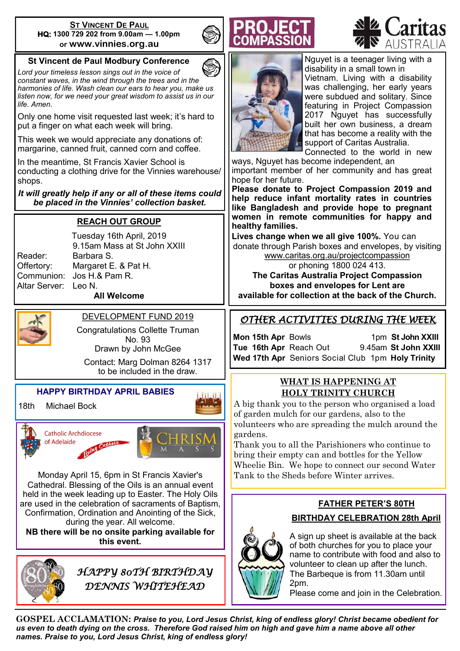#### **ST VINCENT DE PAUL HQ: 1300 729 202 from 9.00am — 1.00pm or www.vinnies.org.au**

#### **St Vincent de Paul Modbury Conference**

*Lord your timeless lesson sings out in the voice of constant waves, in the wind through the trees and in the harmonies of life. Wash clean our ears to hear you, make us listen now, for we need your great wisdom to assist us in our life. Amen.*

Only one home visit requested last week; it's hard to put a finger on what each week will bring.

This week we would appreciate any donations of: margarine, canned fruit, canned corn and coffee.

In the meantime, St Francis Xavier School is conducting a clothing drive for the Vinnies warehouse/ shops.

*It will greatly help if any or all of these items could be placed in the Vinnies' collection basket.* 

#### **REACH OUT GROUP**

Reader: Barbara S. Altar Server: Leo N.

Tuesday 16th April, 2019 9.15am Mass at St John XXIII Offertory: Margaret E. & Pat H. Communion: Jos H.& Pam R. **All Welcome**



### DEVELOPMENT FUND 2019

Congratulations Collette Truman No. 93 Drawn by John McGee

Contact: Marg Dolman 8264 1317 to be included in the draw.

#### **HAPPY BIRTHDAY APRIL BABIES**

18th Michael Bock



Monday April 15, 6pm in St Francis Xavier's Cathedral. Blessing of the Oils is an annual event held in the week leading up to Easter. The Holy Oils are used in the celebration of sacraments of Baptism, Confirmation, Ordination and Anointing of the Sick, during the year. All welcome. **NB there will be no onsite parking available for** 

**this event.** 



*HAPPY 80TH BIRTHDAY DENNIS WHITEHEAD* 





Nguyet is a teenager living with a disability in a small town in Vietnam. Living with a disability was challenging, her early years were subdued and solitary. Since featuring in Project Compassion 2017 Nguyet has successfully built her own business, a dream that has become a reality with the support of Caritas Australia.

Connected to the world in new ways, Nguyet has become independent, an

important member of her community and has great hope for her future.

**Please donate to Project Compassion 2019 and help reduce infant mortality rates in countries like Bangladesh and provide hope to pregnant women in remote communities for happy and healthy families.**

**Lives change when we all give 100%.** You can donate through Parish boxes and envelopes, by visiting [www.caritas.org.au/projectcompassion](http://www.caritas.org.au/projectcompassion)

or phoning 1800 024 413. **The Caritas Australia Project Compassion boxes and envelopes for Lent are available for collection at the back of the Church.**

#### *OTHER ACTIVITIES DURING THE WEEK*

**Mon 15th Apr Bowls** 1pm **St John XXIII Tue 16th Apr** Reach Out 9.45am **St John XXIII Wed 17th Apr** Seniors Social Club 1pm **Holy Trinity**

#### **WHAT IS HAPPENING AT HOLY TRINITY CHURCH**

A big thank you to the person who organised a load of garden mulch for our gardens, also to the volunteers who are spreading the mulch around the gardens.

Thank you to all the Parishioners who continue to bring their empty can and bottles for the Yellow Wheelie Bin. We hope to connect our second Water Tank to the Sheds before Winter arrives.

# **FATHER PETER'S 80TH BIRTHDAY CELEBRATION 28th April**



A sign up sheet is available at the back of both churches for you to place your name to contribute with food and also to volunteer to clean up after the lunch. The Barbeque is from 11.30am until 2pm.

Please come and join in the Celebration.

**GOSPEL ACCLAMATION:** *Praise to you, Lord Jesus Christ, king of endless glory! Christ became obedient for us even to death dying on the cross. Therefore God raised him on high and gave him a name above all other names. Praise to you, Lord Jesus Christ, king of endless glory!*